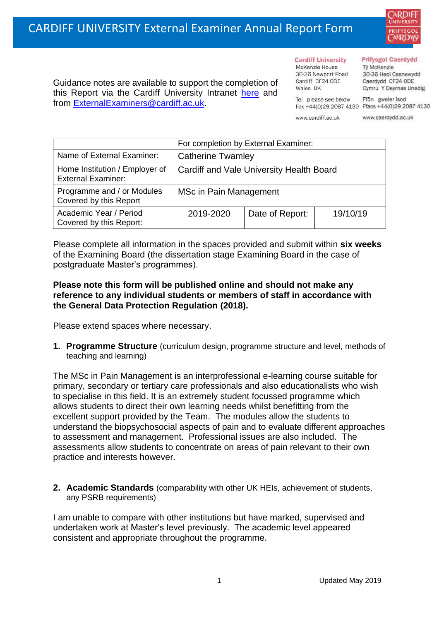

Guidance notes are available to support the completion of this Report via the Cardiff University Intranet [here](https://intranet.cardiff.ac.uk/staff/teaching-and-supporting-students/exams-and-assessment/exam-boards-and-external-examiners/for-current-external-examiners/external-examiners-reports) and from [ExternalExaminers@cardiff.ac.uk.](mailto:ExternalExaminers@cardiff.ac.uk)

#### **Cardiff University** McKenzie House 30-36 Newport Road

#### **Prifysgol Caerdydd**

Từ McKenzie 30-36 Heol Casnewydd Caerdydd CF24 ODE Cymru Y Deyrnas Unedig

Tel please see below Ffôn gweler isod Fax +44(0)29 2087 4130 Ffacs +44(0)29 2087 4130

www.cardiff.ac.uk

Cardiff CF24 ODE

Wales UK

www.caerdydd.ac.uk

|                                                             | For completion by External Examiner:     |                 |          |  |
|-------------------------------------------------------------|------------------------------------------|-----------------|----------|--|
| Name of External Examiner:                                  | <b>Catherine Twamley</b>                 |                 |          |  |
| Home Institution / Employer of<br><b>External Examiner:</b> | Cardiff and Vale University Health Board |                 |          |  |
| Programme and / or Modules<br>Covered by this Report        | MSc in Pain Management                   |                 |          |  |
| Academic Year / Period<br>Covered by this Report:           | 2019-2020                                | Date of Report: | 19/10/19 |  |

Please complete all information in the spaces provided and submit within **six weeks** of the Examining Board (the dissertation stage Examining Board in the case of postgraduate Master's programmes).

## **Please note this form will be published online and should not make any reference to any individual students or members of staff in accordance with the General Data Protection Regulation (2018).**

Please extend spaces where necessary.

**1. Programme Structure** (curriculum design, programme structure and level, methods of teaching and learning)

The MSc in Pain Management is an interprofessional e-learning course suitable for primary, secondary or tertiary care professionals and also educationalists who wish to specialise in this field. It is an extremely student focussed programme which allows students to direct their own learning needs whilst benefitting from the excellent support provided by the Team. The modules allow the students to understand the biopsychosocial aspects of pain and to evaluate different approaches to assessment and management. Professional issues are also included. The assessments allow students to concentrate on areas of pain relevant to their own practice and interests however.

**2. Academic Standards** (comparability with other UK HEIs, achievement of students, any PSRB requirements)

I am unable to compare with other institutions but have marked, supervised and undertaken work at Master's level previously. The academic level appeared consistent and appropriate throughout the programme.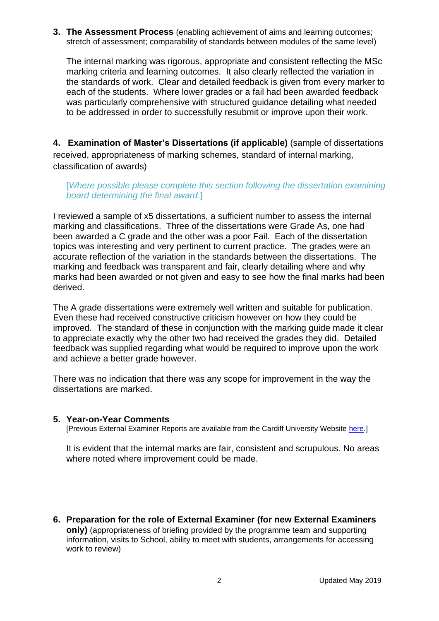**3. The Assessment Process** (enabling achievement of aims and learning outcomes; stretch of assessment; comparability of standards between modules of the same level)

The internal marking was rigorous, appropriate and consistent reflecting the MSc marking criteria and learning outcomes. It also clearly reflected the variation in the standards of work. Clear and detailed feedback is given from every marker to each of the students. Where lower grades or a fail had been awarded feedback was particularly comprehensive with structured guidance detailing what needed to be addressed in order to successfully resubmit or improve upon their work.

**4. Examination of Master's Dissertations (if applicable)** (sample of dissertations received, appropriateness of marking schemes, standard of internal marking, classification of awards)

#### [*Where possible please complete this section following the dissertation examining board determining the final award*.]

I reviewed a sample of x5 dissertations, a sufficient number to assess the internal marking and classifications. Three of the dissertations were Grade As, one had been awarded a C grade and the other was a poor Fail. Each of the dissertation topics was interesting and very pertinent to current practice. The grades were an accurate reflection of the variation in the standards between the dissertations. The marking and feedback was transparent and fair, clearly detailing where and why marks had been awarded or not given and easy to see how the final marks had been derived.

The A grade dissertations were extremely well written and suitable for publication. Even these had received constructive criticism however on how they could be improved. The standard of these in conjunction with the marking guide made it clear to appreciate exactly why the other two had received the grades they did. Detailed feedback was supplied regarding what would be required to improve upon the work and achieve a better grade however.

There was no indication that there was any scope for improvement in the way the dissertations are marked.

## **5. Year-on-Year Comments**

[Previous External Examiner Reports are available from the Cardiff University Website [here.](https://www.cardiff.ac.uk/public-information/quality-and-standards/external-examiner-reports)]

It is evident that the internal marks are fair, consistent and scrupulous. No areas where noted where improvement could be made.

**6. Preparation for the role of External Examiner (for new External Examiners only)** (appropriateness of briefing provided by the programme team and supporting information, visits to School, ability to meet with students, arrangements for accessing work to review)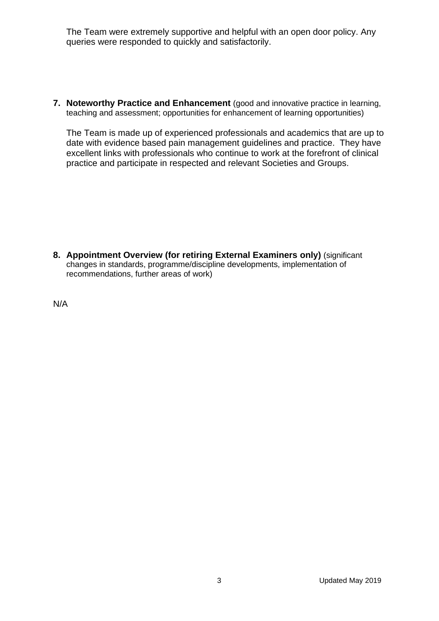The Team were extremely supportive and helpful with an open door policy. Any queries were responded to quickly and satisfactorily.

**7. Noteworthy Practice and Enhancement** (good and innovative practice in learning, teaching and assessment; opportunities for enhancement of learning opportunities)

The Team is made up of experienced professionals and academics that are up to date with evidence based pain management guidelines and practice. They have excellent links with professionals who continue to work at the forefront of clinical practice and participate in respected and relevant Societies and Groups.

**8. Appointment Overview (for retiring External Examiners only)** (significant changes in standards, programme/discipline developments, implementation of recommendations, further areas of work)

N/A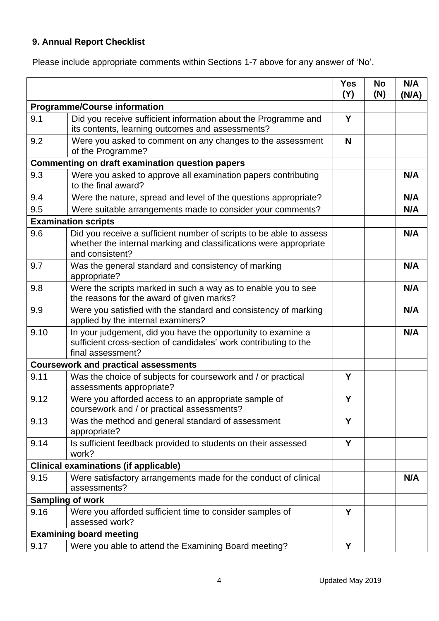# **9. Annual Report Checklist**

Please include appropriate comments within Sections 1-7 above for any answer of 'No'.

|                                                        |                                                                                                                                                             | <b>Yes</b><br>(Y) | <b>No</b><br>(N) | N/A<br>(N/A) |
|--------------------------------------------------------|-------------------------------------------------------------------------------------------------------------------------------------------------------------|-------------------|------------------|--------------|
| <b>Programme/Course information</b>                    |                                                                                                                                                             |                   |                  |              |
| 9.1                                                    | Did you receive sufficient information about the Programme and<br>its contents, learning outcomes and assessments?                                          | Y                 |                  |              |
| 9.2                                                    | Were you asked to comment on any changes to the assessment<br>of the Programme?                                                                             | N                 |                  |              |
| <b>Commenting on draft examination question papers</b> |                                                                                                                                                             |                   |                  |              |
| 9.3                                                    | Were you asked to approve all examination papers contributing<br>to the final award?                                                                        |                   |                  | N/A          |
| 9.4                                                    | Were the nature, spread and level of the questions appropriate?                                                                                             |                   |                  | N/A          |
| 9.5                                                    | Were suitable arrangements made to consider your comments?                                                                                                  |                   |                  | N/A          |
|                                                        | <b>Examination scripts</b>                                                                                                                                  |                   |                  |              |
| 9.6                                                    | Did you receive a sufficient number of scripts to be able to assess<br>whether the internal marking and classifications were appropriate<br>and consistent? |                   |                  | N/A          |
| 9.7                                                    | Was the general standard and consistency of marking<br>appropriate?                                                                                         |                   |                  | N/A          |
| 9.8                                                    | Were the scripts marked in such a way as to enable you to see<br>the reasons for the award of given marks?                                                  |                   |                  | N/A          |
| 9.9                                                    | Were you satisfied with the standard and consistency of marking<br>applied by the internal examiners?                                                       |                   |                  | N/A          |
| 9.10                                                   | In your judgement, did you have the opportunity to examine a<br>sufficient cross-section of candidates' work contributing to the<br>final assessment?       |                   |                  | N/A          |
|                                                        | <b>Coursework and practical assessments</b>                                                                                                                 |                   |                  |              |
| 9.11                                                   | Was the choice of subjects for coursework and / or practical<br>assessments appropriate?                                                                    | Y                 |                  |              |
| 9.12                                                   | Were you afforded access to an appropriate sample of<br>coursework and / or practical assessments?                                                          | Y                 |                  |              |
| 9.13                                                   | Was the method and general standard of assessment<br>appropriate?                                                                                           | Y                 |                  |              |
| 9.14                                                   | Is sufficient feedback provided to students on their assessed<br>work?                                                                                      | Y                 |                  |              |
|                                                        | <b>Clinical examinations (if applicable)</b>                                                                                                                |                   |                  |              |
| 9.15                                                   | Were satisfactory arrangements made for the conduct of clinical<br>assessments?                                                                             |                   |                  | N/A          |
| <b>Sampling of work</b>                                |                                                                                                                                                             |                   |                  |              |
| 9.16                                                   | Were you afforded sufficient time to consider samples of<br>assessed work?                                                                                  | Y                 |                  |              |
|                                                        | <b>Examining board meeting</b>                                                                                                                              |                   |                  |              |
| 9.17                                                   | Were you able to attend the Examining Board meeting?                                                                                                        | Υ                 |                  |              |